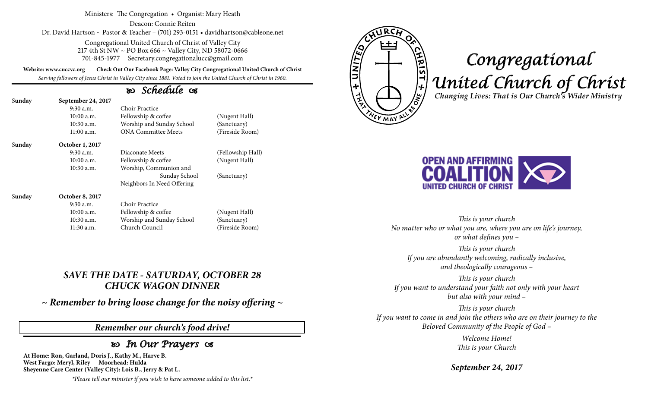Ministers: The Congregation • Organist: Mary Heath

Deacon: Connie Reiten Dr. David Hartson ~ Pastor & Teacher – (701) 293-0151 • davidhartson@cableone.net

> Congregational United Church of Christ of Valley City 217 4th St NW ~ PO Box 666 ~ Valley City, ND 58072-0666 701-845-1977 Secretary.congregationalucc@gmail.com

**Website: www.cuccvc.org Check Out Our Facebook Page: Valley City Congregational United Church of Christ**

*Serving followers of Jesus Christ in Valley City since 1881. Voted to join the United Church of Christ in 1960.*

## *Schedule*

| Sunday | September 24, 2017     |                            |                   |
|--------|------------------------|----------------------------|-------------------|
|        | $9:30$ a.m.            | Choir Practice             |                   |
|        | $10:00$ a.m.           | Fellowship & coffee        | (Nugent Hall)     |
|        | $10:30$ a.m.           | Worship and Sunday School  | (Sanctuary)       |
|        | $11:00$ a.m.           | <b>ONA Committee Meets</b> | (Fireside Room)   |
| Sunday | October 1, 2017        |                            |                   |
|        | $9:30$ a.m.            | Diaconate Meets            | (Fellowship Hall) |
|        | $10:00$ a.m.           | Fellowship & coffee        | (Nugent Hall)     |
|        | $10:30$ a.m.           | Worship, Communion and     |                   |
|        |                        | Sunday School              | (Sanctuary)       |
|        |                        | Neighbors In Need Offering |                   |
| Sunday | <b>October 8, 2017</b> |                            |                   |
|        | $9:30$ a.m.            | Choir Practice             |                   |
|        | $10:00$ a.m.           | Fellowship & coffee        | (Nugent Hall)     |
|        | $10:30$ a.m.           | Worship and Sunday School  | (Sanctuary)       |
|        | 11:30 a.m.             | Church Council             | (Fireside Room)   |

## *SAVE THE DATE - SATURDAY, OCTOBER 28 CHUCK WAGON DINNER*

*~ Remember to bring loose change for the noisy offering ~*

### *Remember our church's food drive!*

## *In Our Prayers*

**At Home: Ron, Garland, Doris J., Kathy M., Harve B. West Fargo: Meryl, Riley Moorhead: Hulda Sheyenne Care Center (Valley City): Lois B., Jerry & Pat L.**

*\*Please tell our minister if you wish to have someone added to this list.\**



# *Congregational United Church of Christ Changing Lives: That is Our Church's Wider Ministry*



*This is your church No matter who or what you are, where you are on life's journey, or what defines you –*

*This is your church If you are abundantly welcoming, radically inclusive, and theologically courageous –*

*This is your church If you want to understand your faith not only with your heart but also with your mind –*

*This is your church If you want to come in and join the others who are on their journey to the Beloved Community of the People of God –*

> *Welcome Home! This is your Church*

*September 24, 2017*